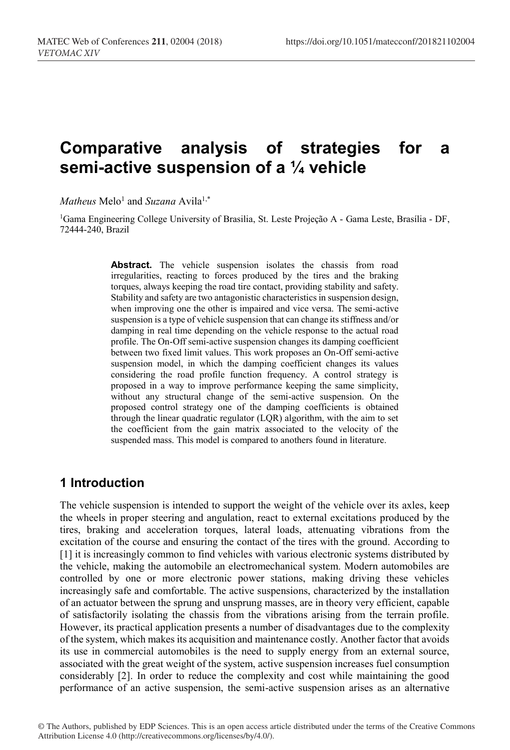# **Comparative analysis of strategies for a semi-active suspension of a ¼ vehicle**

*Matheus* Melo<sup>1</sup> and *Suzana* Avila<sup>1,\*</sup>

1Gama Engineering College University of Brasilia, St. Leste Projeção A - Gama Leste, Brasília - DF, 72444-240, Brazil

> Abstract. The vehicle suspension isolates the chassis from road irregularities, reacting to forces produced by the tires and the braking torques, always keeping the road tire contact, providing stability and safety. Stability and safety are two antagonistic characteristics in suspension design, when improving one the other is impaired and vice versa. The semi-active suspension is a type of vehicle suspension that can change its stiffness and/or damping in real time depending on the vehicle response to the actual road profile. The On-Off semi-active suspension changes its damping coefficient between two fixed limit values. This work proposes an On-Off semi-active suspension model, in which the damping coefficient changes its values considering the road profile function frequency. A control strategy is proposed in a way to improve performance keeping the same simplicity, without any structural change of the semi-active suspension. On the proposed control strategy one of the damping coefficients is obtained through the linear quadratic regulator (LQR) algorithm, with the aim to set the coefficient from the gain matrix associated to the velocity of the suspended mass. This model is compared to anothers found in literature.

#### **1 Introduction**

The vehicle suspension is intended to support the weight of the vehicle over its axles, keep the wheels in proper steering and angulation, react to external excitations produced by the tires, braking and acceleration torques, lateral loads, attenuating vibrations from the excitation of the course and ensuring the contact of the tires with the ground. According to [1] it is increasingly common to find vehicles with various electronic systems distributed by the vehicle, making the automobile an electromechanical system. Modern automobiles are controlled by one or more electronic power stations, making driving these vehicles increasingly safe and comfortable. The active suspensions, characterized by the installation of an actuator between the sprung and unsprung masses, are in theory very efficient, capable of satisfactorily isolating the chassis from the vibrations arising from the terrain profile. However, its practical application presents a number of disadvantages due to the complexity of the system, which makes its acquisition and maintenance costly. Another factor that avoids its use in commercial automobiles is the need to supply energy from an external source, associated with the great weight of the system, active suspension increases fuel consumption considerably [2]. In order to reduce the complexity and cost while maintaining the good performance of an active suspension, the semi-active suspension arises as an alternative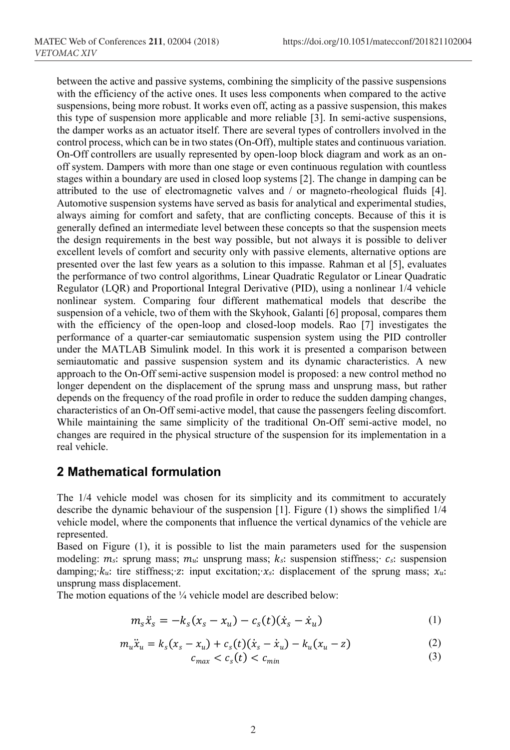between the active and passive systems, combining the simplicity of the passive suspensions with the efficiency of the active ones. It uses less components when compared to the active suspensions, being more robust. It works even off, acting as a passive suspension, this makes this type of suspension more applicable and more reliable [3]. In semi-active suspensions, the damper works as an actuator itself. There are several types of controllers involved in the control process, which can be in two states (On-Off), multiple states and continuous variation. On-Off controllers are usually represented by open-loop block diagram and work as an onoff system. Dampers with more than one stage or even continuous regulation with countless stages within a boundary are used in closed loop systems [2]. The change in damping can be attributed to the use of electromagnetic valves and / or magneto-rheological fluids [4]. Automotive suspension systems have served as basis for analytical and experimental studies, always aiming for comfort and safety, that are conflicting concepts. Because of this it is generally defined an intermediate level between these concepts so that the suspension meets the design requirements in the best way possible, but not always it is possible to deliver excellent levels of comfort and security only with passive elements, alternative options are presented over the last few years as a solution to this impasse. Rahman et al [5], evaluates the performance of two control algorithms, Linear Quadratic Regulator or Linear Quadratic Regulator (LQR) and Proportional Integral Derivative (PID), using a nonlinear 1/4 vehicle nonlinear system. Comparing four different mathematical models that describe the suspension of a vehicle, two of them with the Skyhook, Galanti [6] proposal, compares them with the efficiency of the open-loop and closed-loop models. Rao [7] investigates the performance of a quarter-car semiautomatic suspension system using the PID controller under the MATLAB Simulink model. In this work it is presented a comparison between semiautomatic and passive suspension system and its dynamic characteristics. A new approach to the On-Off semi-active suspension model is proposed: a new control method no longer dependent on the displacement of the sprung mass and unsprung mass, but rather depends on the frequency of the road profile in order to reduce the sudden damping changes, characteristics of an On-Off semi-active model, that cause the passengers feeling discomfort. While maintaining the same simplicity of the traditional On-Off semi-active model, no changes are required in the physical structure of the suspension for its implementation in a real vehicle.

## **2 Mathematical formulation**

The 1/4 vehicle model was chosen for its simplicity and its commitment to accurately describe the dynamic behaviour of the suspension [1]. Figure (1) shows the simplified 1/4 vehicle model, where the components that influence the vertical dynamics of the vehicle are represented.

Based on Figure (1), it is possible to list the main parameters used for the suspension modeling:  $m_s$ : sprung mass;  $m_u$ : unsprung mass;  $k_s$ : suspension stiffness;∙  $c_s$ : suspension damping;∙ $k_u$ : tire stiffness;∙z: input excitation;∙ $x_s$ : displacement of the sprung mass;  $x_u$ : unsprung mass displacement.

The motion equations of the  $\frac{1}{4}$  vehicle model are described below:

$$
m_{s}\ddot{x}_{s} = -k_{s}(x_{s} - x_{u}) - c_{s}(t)(\dot{x}_{s} - \dot{x}_{u})
$$
\n(1)

$$
m_u \ddot{x}_u = k_s (x_s - x_u) + c_s(t) (\dot{x}_s - \dot{x}_u) - k_u (x_u - z)
$$
(2)

$$
c_{\max} < c_s(t) < c_{\min} \tag{3}
$$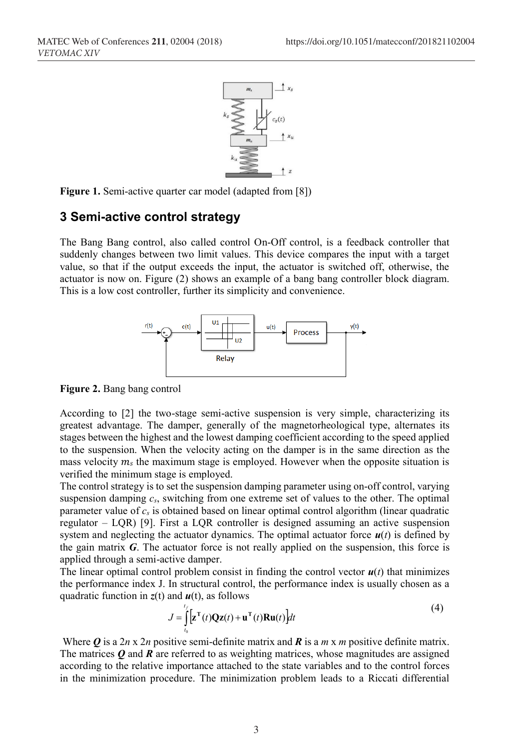

**Figure 1.** Semi-active quarter car model (adapted from [8])

## **3 Semi-active control strategy**

The Bang Bang control, also called control On-Off control, is a feedback controller that suddenly changes between two limit values. This device compares the input with a target value, so that if the output exceeds the input, the actuator is switched off, otherwise, the actuator is now on. Figure (2) shows an example of a bang bang controller block diagram. This is a low cost controller, further its simplicity and convenience.



**Figure 2.** Bang bang control

According to [2] the two-stage semi-active suspension is very simple, characterizing its greatest advantage. The damper, generally of the magnetorheological type, alternates its stages between the highest and the lowest damping coefficient according to the speed applied to the suspension. When the velocity acting on the damper is in the same direction as the mass velocity  $m_s$  the maximum stage is employed. However when the opposite situation is verified the minimum stage is employed.

The control strategy is to set the suspension damping parameter using on-off control, varying suspension damping *cs*, switching from one extreme set of values to the other. The optimal parameter value of  $c_s$  is obtained based on linear optimal control algorithm (linear quadratic regulator – LQR) [9]. First a LQR controller is designed assuming an active suspension system and neglecting the actuator dynamics. The optimal actuator force  $u(t)$  is defined by the gain matrix *G*. The actuator force is not really applied on the suspension, this force is applied through a semi-active damper.

The linear optimal control problem consist in finding the control vector  $u(t)$  that minimizes the performance index J. In structural control, the performance index is usually chosen as a quadratic function in *z*(t) and *u*(t), as follows

$$
J = \int_{t_0}^{t_f} \left[ \mathbf{z}^{\mathrm{T}}(t) \mathbf{Q} \mathbf{z}(t) + \mathbf{u}^{\mathrm{T}}(t) \mathbf{R} \mathbf{u}(t) \right] dt \tag{4}
$$

Where  $\boldsymbol{Q}$  is a 2*n* x 2*n* positive semi-definite matrix and  $\boldsymbol{R}$  is a *m* x *m* positive definite matrix. The matrices *Q* and *R* are referred to as weighting matrices, whose magnitudes are assigned according to the relative importance attached to the state variables and to the control forces in the minimization procedure. The minimization problem leads to a Riccati differential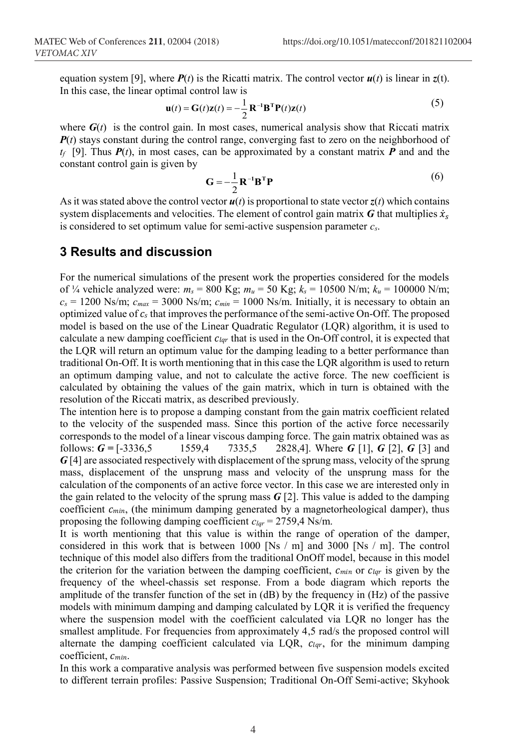equation system [9], where  $P(t)$  is the Ricatti matrix. The control vector  $u(t)$  is linear in  $z(t)$ . In this case, the linear optimal control law is

$$
\mathbf{u}(t) = \mathbf{G}(t)\mathbf{z}(t) = -\frac{1}{2}\mathbf{R}^{-1}\mathbf{B}^{\mathrm{T}}\mathbf{P}(t)\mathbf{z}(t)
$$
 (5)

where  $G(t)$  is the control gain. In most cases, numerical analysis show that Riccati matrix *P(t)* stays constant during the control range, converging fast to zero on the neighborhood of  $t_f$  [9]. Thus  $P(t)$ , in most cases, can be approximated by a constant matrix  $P$  and and the constant control gain is given by

$$
\mathbf{G} = -\frac{1}{2} \mathbf{R}^{-1} \mathbf{B}^{\mathrm{T}} \mathbf{P}
$$
 (6)

As it was stated above the control vector  $u(t)$  is proportional to state vector  $z(t)$  which contains system displacements and velocities. The element of control gain matrix  $G$  that multiplies  $\dot{x}_s$ is considered to set optimum value for semi-active suspension parameter *cs*.

#### **3 Results and discussion**

For the numerical simulations of the present work the properties considered for the models of  $\frac{1}{4}$  vehicle analyzed were:  $m_s = 800 \text{ Kg}; m_u = 50 \text{ Kg}; k_s = 10500 \text{ N/m}; k_u = 100000 \text{ N/m};$  $c_s = 1200$  Ns/m;  $c_{max} = 3000$  Ns/m;  $c_{min} = 1000$  Ns/m. Initially, it is necessary to obtain an optimized value of  $c_s$  that improves the performance of the semi-active On-Off. The proposed model is based on the use of the Linear Quadratic Regulator (LQR) algorithm, it is used to calculate a new damping coefficient  $c_{lqr}$  that is used in the On-Off control, it is expected that the LQR will return an optimum value for the damping leading to a better performance than traditional On-Off. It is worth mentioning that in this case the LQR algorithm is used to return an optimum damping value, and not to calculate the active force. The new coefficient is calculated by obtaining the values of the gain matrix, which in turn is obtained with the resolution of the Riccati matrix, as described previously.

The intention here is to propose a damping constant from the gain matrix coefficient related to the velocity of the suspended mass. Since this portion of the active force necessarily corresponds to the model of a linear viscous damping force. The gain matrix obtained was as follows:  $G = [-3336,5 \text{ 1559,4 \text{ 7335,5 \text{ 2828,4}}]$ . Where  $G [1]$ ,  $G [2]$ ,  $G [3]$  and *G* [4] are associated respectively with displacement of the sprung mass, velocity of the sprung mass, displacement of the unsprung mass and velocity of the unsprung mass for the calculation of the components of an active force vector. In this case we are interested only in the gain related to the velocity of the sprung mass  $G$  [2]. This value is added to the damping coefficient  $c_{min}$ , (the minimum damping generated by a magnetorheological damper), thus proposing the following damping coefficient *clqr* = 2759,4 Ns/m.

It is worth mentioning that this value is within the range of operation of the damper, considered in this work that is between 1000 [Ns / m] and 3000 [Ns / m]. The control technique of this model also differs from the traditional OnOff model, because in this model the criterion for the variation between the damping coefficient,  $c_{min}$  or  $c_{lqr}$  is given by the frequency of the wheel-chassis set response. From a bode diagram which reports the amplitude of the transfer function of the set in (dB) by the frequency in (Hz) of the passive models with minimum damping and damping calculated by LQR it is verified the frequency where the suspension model with the coefficient calculated via LQR no longer has the smallest amplitude. For frequencies from approximately 4,5 rad/s the proposed control will alternate the damping coefficient calculated via LQR,  $c_{lqr}$ , for the minimum damping  $coefficient$ ,  $C_{min}$ .

In this work a comparative analysis was performed between five suspension models excited to different terrain profiles: Passive Suspension; Traditional On-Off Semi-active; Skyhook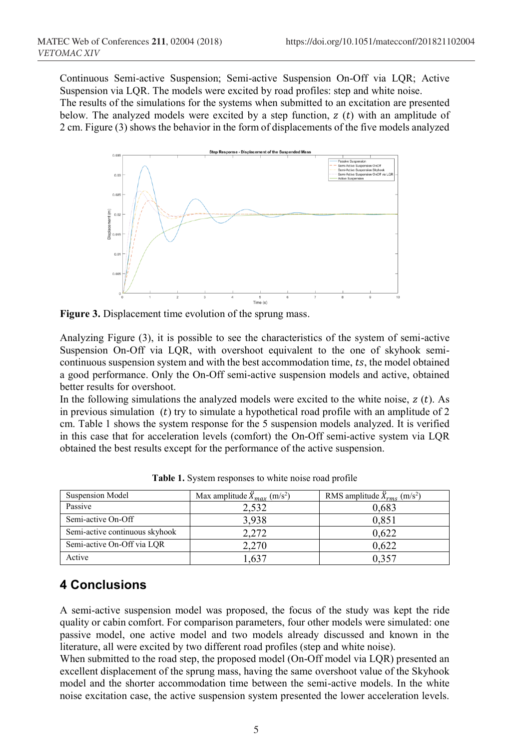Continuous Semi-active Suspension; Semi-active Suspension On-Off via LQR; Active Suspension via LQR. The models were excited by road profiles: step and white noise. The results of the simulations for the systems when submitted to an excitation are presented below. The analyzed models were excited by a step function,  $z(t)$  with an amplitude of 2 cm. Figure (3) shows the behavior in the form of displacements of the five models analyzed



**Figure 3.** Displacement time evolution of the sprung mass.

Analyzing Figure (3), it is possible to see the characteristics of the system of semi-active Suspension On-Off via LQR, with overshoot equivalent to the one of skyhook semicontinuous suspension system and with the best accommodation time,  $ts$ , the model obtained a good performance. Only the On-Off semi-active suspension models and active, obtained better results for overshoot.

In the following simulations the analyzed models were excited to the white noise,  $z(t)$ . As in previous simulation  $(t)$  try to simulate a hypothetical road profile with an amplitude of 2 cm. Table 1 shows the system response for the 5 suspension models analyzed. It is verified in this case that for acceleration levels (comfort) the On-Off semi-active system via LQR obtained the best results except for the performance of the active suspension.

| Suspension Model               | Max amplitude $\ddot{X}_{max}$ (m/s <sup>2</sup> ) | RMS amplitude $\ddot{X}_{rms}$ (m/s <sup>2</sup> ) |
|--------------------------------|----------------------------------------------------|----------------------------------------------------|
| Passive                        | 2.532                                              | 0.683                                              |
| Semi-active On-Off             | 3.938                                              | 0.851                                              |
| Semi-active continuous skyhook | 2.272                                              | 0.622                                              |
| Semi-active On-Off via LOR     | 2.270                                              | 0.622                                              |
| Active                         | .637                                               |                                                    |

**Table 1.** System responses to white noise road profile

## **4 Conclusions**

A semi-active suspension model was proposed, the focus of the study was kept the ride quality or cabin comfort. For comparison parameters, four other models were simulated: one passive model, one active model and two models already discussed and known in the literature, all were excited by two different road profiles (step and white noise).

When submitted to the road step, the proposed model (On-Off model via LQR) presented an excellent displacement of the sprung mass, having the same overshoot value of the Skyhook model and the shorter accommodation time between the semi-active models. In the white noise excitation case, the active suspension system presented the lower acceleration levels.